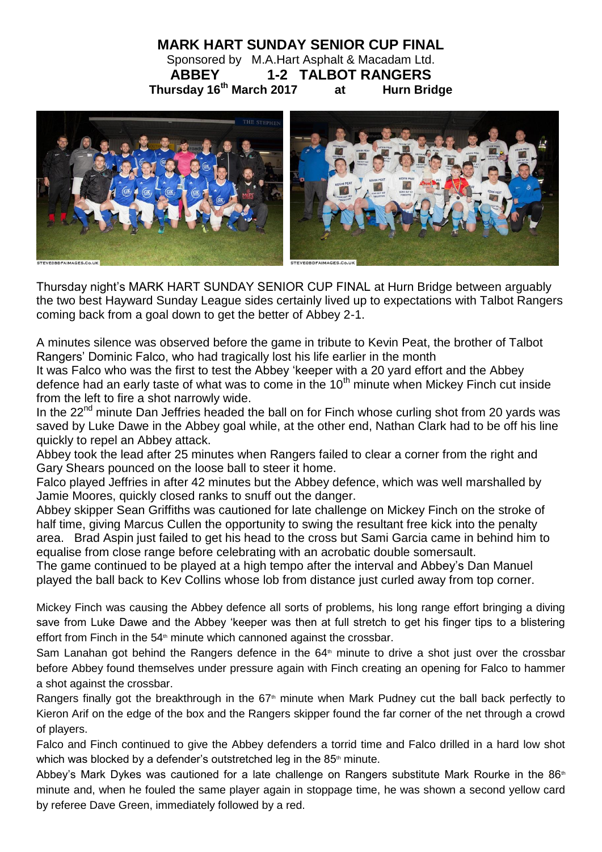## **MARK HART SUNDAY SENIOR CUP FINAL** Sponsored by M.A.Hart Asphalt & Macadam Ltd. **ABBEY 1-2 TALBOT RANGERS Thursday 16th March 2017 at Hurn Bridge**



Thursday night's MARK HART SUNDAY SENIOR CUP FINAL at Hurn Bridge between arguably the two best Hayward Sunday League sides certainly lived up to expectations with Talbot Rangers coming back from a goal down to get the better of Abbey 2-1.

A minutes silence was observed before the game in tribute to Kevin Peat, the brother of Talbot Rangers' Dominic Falco, who had tragically lost his life earlier in the month

It was Falco who was the first to test the Abbey 'keeper with a 20 yard effort and the Abbey defence had an early taste of what was to come in the  $10<sup>th</sup>$  minute when Mickey Finch cut inside from the left to fire a shot narrowly wide.

In the  $22<sup>nd</sup>$  minute Dan Jeffries headed the ball on for Finch whose curling shot from 20 yards was saved by Luke Dawe in the Abbey goal while, at the other end, Nathan Clark had to be off his line quickly to repel an Abbey attack.

Abbey took the lead after 25 minutes when Rangers failed to clear a corner from the right and Gary Shears pounced on the loose ball to steer it home.

Falco played Jeffries in after 42 minutes but the Abbey defence, which was well marshalled by Jamie Moores, quickly closed ranks to snuff out the danger.

Abbey skipper Sean Griffiths was cautioned for late challenge on Mickey Finch on the stroke of half time, giving Marcus Cullen the opportunity to swing the resultant free kick into the penalty area. Brad Aspin just failed to get his head to the cross but Sami Garcia came in behind him to equalise from close range before celebrating with an acrobatic double somersault.

The game continued to be played at a high tempo after the interval and Abbey's Dan Manuel played the ball back to Kev Collins whose lob from distance just curled away from top corner.

Mickey Finch was causing the Abbey defence all sorts of problems, his long range effort bringing a diving save from Luke Dawe and the Abbey 'keeper was then at full stretch to get his finger tips to a blistering effort from Finch in the  $54<sup>th</sup>$  minute which cannoned against the crossbar.

Sam Lanahan got behind the Rangers defence in the 64<sup>th</sup> minute to drive a shot just over the crossbar before Abbey found themselves under pressure again with Finch creating an opening for Falco to hammer a shot against the crossbar.

Rangers finally got the breakthrough in the 67<sup>th</sup> minute when Mark Pudney cut the ball back perfectly to Kieron Arif on the edge of the box and the Rangers skipper found the far corner of the net through a crowd of players.

Falco and Finch continued to give the Abbey defenders a torrid time and Falco drilled in a hard low shot which was blocked by a defender's outstretched leg in the  $85<sup>th</sup>$  minute.

Abbey's Mark Dykes was cautioned for a late challenge on Rangers substitute Mark Rourke in the  $86<sup>th</sup>$ minute and, when he fouled the same player again in stoppage time, he was shown a second yellow card by referee Dave Green, immediately followed by a red.